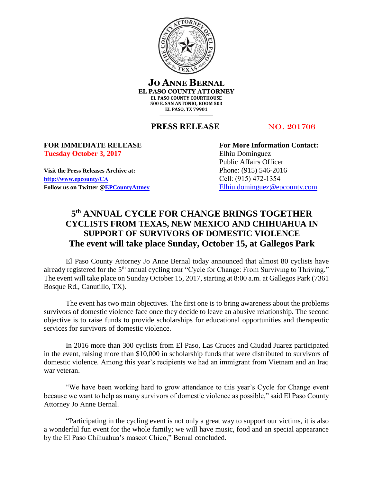

**JO ANNE BERNAL EL PASO COUNTY ATTORNEY EL PASO COUNTY COURTHOUSE 500 E. SAN ANTONIO, ROOM 503 EL PASO, TX 79901**

#### **PRESS RELEASE** NO. 201706

# **Tuesday October 3, 2017** Elhiu Dominguez

**Visit the Press Releases Archive at:** Phone: (915) 546-2016 **[http://www.epcounty/CA](http://www.epcounty/CA/releases.htm)** Cell: (915) 472-1354 Follow us on Twitter  $@EPC$ ountyAttney [Elhiu.dominguez@epcounty.com](mailto:Elhiu.dominguez@epcounty.com)

**FOR IMMEDIATE RELEASE For More Information Contact:** Public Affairs Officer

### **5 th ANNUAL CYCLE FOR CHANGE BRINGS TOGETHER CYCLISTS FROM TEXAS, NEW MEXICO AND CHIHUAHUA IN SUPPORT OF SURVIVORS OF DOMESTIC VIOLENCE The event will take place Sunday, October 15, at Gallegos Park**

El Paso County Attorney Jo Anne Bernal today announced that almost 80 cyclists have already registered for the 5<sup>th</sup> annual cycling tour "Cycle for Change: From Surviving to Thriving." The event will take place on Sunday October 15, 2017, starting at 8:00 a.m. at Gallegos Park (7361 Bosque Rd., Canutillo, TX).

The event has two main objectives. The first one is to bring awareness about the problems survivors of domestic violence face once they decide to leave an abusive relationship. The second objective is to raise funds to provide scholarships for educational opportunities and therapeutic services for survivors of domestic violence.

In 2016 more than 300 cyclists from El Paso, Las Cruces and Ciudad Juarez participated in the event, raising more than \$10,000 in scholarship funds that were distributed to survivors of domestic violence. Among this year's recipients we had an immigrant from Vietnam and an Iraq war veteran.

"We have been working hard to grow attendance to this year's Cycle for Change event because we want to help as many survivors of domestic violence as possible," said El Paso County Attorney Jo Anne Bernal.

"Participating in the cycling event is not only a great way to support our victims, it is also a wonderful fun event for the whole family; we will have music, food and an special appearance by the El Paso Chihuahua's mascot Chico," Bernal concluded.